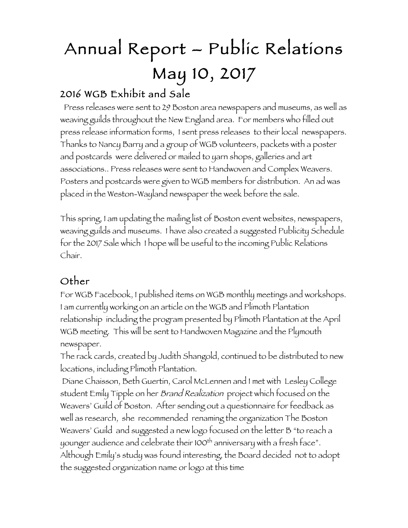## Annual Report – Public Relations May 10, 2017

## 2016 WGB Exhibit and Sale

 Press releases were sent to 29 Boston area newspapers and museums, as well as weaving guilds throughout the New England area. For members who filled out press release information forms, I sent press releases to their local newspapers. Thanks to Nancy Barry and a group of WGB volunteers, packets with a poster and postcards were delivered or mailed to yarn shops, galleries and art associations.. Press releases were sent to Handwoven and Complex Weavers. Posters and postcards were given to WGB members for distribution. An ad was placed in the Weston-Wayland newspaper the week before the sale.

This spring, I am updating the mailing list of Boston event websites, newspapers, weaving guilds and museums. I have also created a suggested Publicity Schedule for the 2017 Sale which I hope will be useful to the incoming Public Relations Chair.

## Other

For WGB Facebook, I published items on WGB monthly meetings and workshops. I am currently working on an article on the WGB and Plimoth Plantation relationship including the program presented by Plimoth Plantation at the April WGB meeting. This will be sent to Handwoven Magazine and the Plymouth newspaper.

The rack cards, created by Judith Shangold, continued to be distributed to new locations, including Plimoth Plantation.

Diane Chaisson, Beth Guertin, Carol McLennen and I met with Lesley College student Emily Tipple on her Brand Realization project which focused on the Weavers' Guild of Boston. After sending out a questionnaire for feedback as well as research, she recommended renaming the organization The Boston Weavers' Guild and suggested a new logo focused on the letter B "to reach a younger audience and celebrate their 100<sup>th</sup> anniversary with a fresh face". Although Emily's study was found interesting, the Board decided not to adopt the suggested organization name or logo at this time